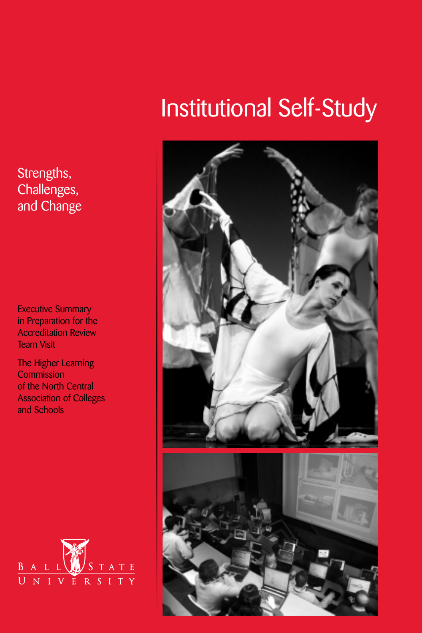### Strengths, Challenges, and Change

Executive Summary in Preparation for the Accreditation Review Team Visit

The Higher Learning **Commission** of the North Central Association of Colleges and Schools



# Institutional Self-Study

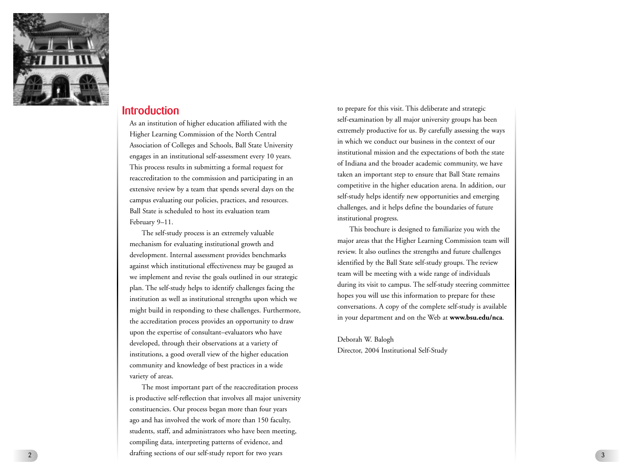

### **Introduction**

As an institution of higher education affiliated with the Higher Learning Commission of the North Central Association of Colleges and Schools, Ball State University engages in an institutional self-assessment every 10 years. This process results in submitting a formal request for reaccreditation to the commission and participating in an extensive review by a team that spends several days on the campus evaluating our policies, practices, and resources. Ball State is scheduled to host its evaluation team February 9–11.

The self-study process is an extremely valuable mechanism for evaluating institutional gr owth and development. Internal assessment provides benchmarks against which institutional effectiveness may be gauged as we implement and revise the goals outlined in our strategic plan. The self-study helps to identify challenges facing the institution as well as institutional strengths upon which we might build in responding to these challenges. Furthermore, the accreditation process pr ovides an opportunity to draw upon the expertise of consultant–evaluators who have developed, through their observations at a variety of institutions, a good overall view of the higher education community and knowledge of best practices in a wide variety of areas.

The most important part of the reaccreditation process is productive self-reflection that involves all major university constituencies. Our process began more than four years ago and has involved the work of more than 150 faculty, students, staff, and administrators who have been meeting, compiling data, interpreting patterns of evidence, and drafting sections of our self-study report for two years

to prepare for this visit. This deliberate and strategic self-examination by all major university groups has been extremely productive for us. By carefully assessing the ways in which we conduct our business in the context of our institutional mission and the expectations of both the state of Indiana and the broader academic community, we have taken an important step to ensure that Ball State remains competitive in the higher education arena. In addition, our self-study helps identify new opportunities and emerging challenges, and it helps define the boundaries of future institutional progress.

This brochure is designed to familiarize you with the major areas that the Higher Learning Commission team will review. It also outlines the strengths and future challenges identified by the Ball State self-study groups. The review team will be meeting with a wide range of individuals during its visit to campus. The self-study steering committee hopes you will use this information to prepare for these conversations. A copy of the complete self-study is available in your department and on the Web at **www.bsu.edu/nca** .

Deborah W. Balogh Director, 2004 Institutional Self-Study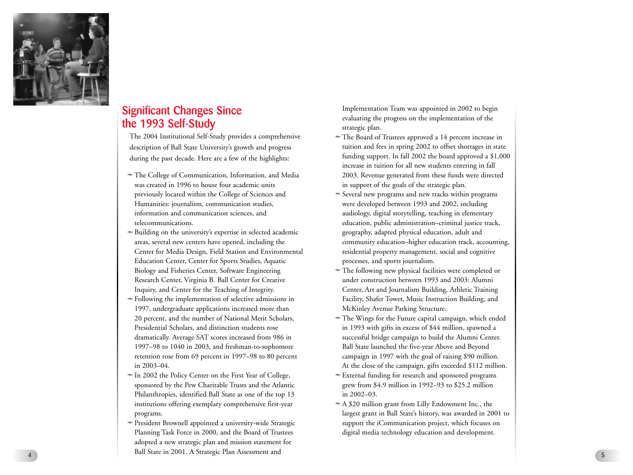

## **Significant Changes Since the 1993 Self-Study**

The 2004 Institutional Self-Study provides a comprehensive description of Ball State University's growth and progress during the past decade. Here are a few of the highlights:

- The College of Communication, Information, and Media was created in 1996 to house four academic units previously located within the College of Sciences and Humanities: journalism, communication studies, information and communication sciences, and telecommunications.
- A Building on the university's expertise in selected academic areas, several new centers have opened, including the Center for Media Design, Field Station and Environmental Education Center, Center for Sports Studies, Aquatic Biology and Fisheries Center, Software Engineering Research Center, Virginia B. Ball Center for Creative Inquiry, and Center for the Teaching of Integrity.
- A Following the implementation of selective admissions in 1997, undergraduate applications increased more than 20 percent, and the number of National Merit Scholars, Presidential Scholars, and distinction students rose dramatically. Average SAT scores increased from 986 in 1997–98 to 1040 in 2003, and freshman-to-sophomore retention rose from 69 percent in 1997–98 to 80 percent in 2003–04.
- $\bullet$  In 2002 the Policy Center on the First Year of College, sponsored by the Pew Charitable Trusts and the Atlantic Philanthropies, identified Ball State as one of the top 13 institutions offering exemplary comprehensive first-year programs.
- A President Brownell appointed a university-wide Strategic Planning Task Force in 2000, and the Board of Trustees adopted a new strategic plan and mission statement for Ball State in 2001. A Strategic Plan Assessment and

Implementation Team was appointed in 2002 to begin evaluating the progress on the implementation of the strategic plan.

- The Board of Trustees approved a 14 percent increase in tuition and fees in spring 2002 to offset shortages in state funding support. In fall 2002 the board approved a \$1,000 increase in tuition for all new students entering in fall 2003. Revenue generated from these funds were directed in support of the goals of the strategic plan.
- A Several new programs and new tracks within programs were developed between 1993 and 2002, including audiology, digital storytelling, teaching in elementary education, public administration–criminal justice track, geography, adapted physical education, adult and community education–higher education track, accounting, residential property management, social and cognitive processes, and sports journalism.
- The following new physical facilities were completed or under construction between 1993 and 2003: Alumni Center, Art and Journalism Building, Athletic Training Facility, Shafer Tower, Music Instruction Building, and McKinley Avenue Parking Structure.
- The Wings for the Future capital campaign, which ended in 1993 with gifts in excess of \$44 million, spawned a successful bridge campaign to build the Alumni Center. Ball State launched the five-year Above and Beyond campaign in 1997 with the goal of raising \$90 million. At the close of the campaign, gifts exceeded \$112 million.
- A External funding for research and sponsored programs grew from \$4.9 million in 1992–93 to \$25.2 million in 2002–03.
- A \$20 million grant from Lilly Endowment Inc., the largest grant in Ball State's history, was awarded in 2001 to support the iCommunication project, which focuses on digital media technology education and development.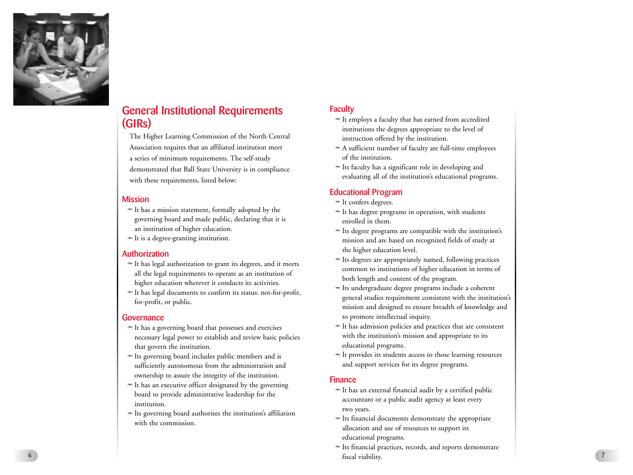

# **General Institutional Requirements (GIRs)**

The Higher Learning Commission of the North Central Association requires that an affiliated institution meet a series of minimum requirements. The self-study demonstrated that Ball State University is in compliance with these requirements, listed below:

#### **Mission**

- A It has a mission statement, formally adopted by the governing board and made public, declaring that it is an institution of higher education.
- $\bullet$  It is a degree-granting institution.

#### **Authorization**

- A It has legal authorization to grant its degrees, and it meets all the legal requirements to operate as an institution of higher education wherever it conducts its activities.
- A It has legal documents to confirm its status: not-for-profit, for-profit, or public.

#### **Governance**

- $\bullet$  It has a governing board that possesses and exercises necessary legal po wer to establish and review basic policies that govern the institution.
- A Its governing board includes public members and is sufficiently autonomous from the administration and ownership to assure the integrity of the institution.
- $\bullet$  It has an executive officer designated by the governing board to provide administrative leadership for the institution.
- $\bullet$  Its governing board authorizes the institution's affiliation with the commission.

### **Faculty**

- A It employs a faculty that has earned from accredited institutions the degrees appropriate to the level of instruction offered by the institution.
- A A sufficient number of faculty are full-time employees of the institution.
- A Its faculty has a significant role in developing and evaluating all of the institution's educational programs.

### **Educational Program**

- A It confers degrees.
- A It has degree programs in operation, with students enrolled in them.
- A Its degree programs are compatible with the institution's mission and are based on recognized fields of study at the higher education level.
- A Its degrees are appropriately named, following practices common to institutions of higher education in terms of both length and content of the program.
- A Its undergraduate degree programs include a coherent general studies requirement consistent with the institution's mission and designed to ensure breadth of knowledge and to promote intellectual inquiry.
- A It has admission policies and practices that are consistent with the institution's mission and appropriate to its educational programs.
- A It provides its students access to those learning resources and support services for its degree programs.

#### **Finance**

- $\bullet$  It has an external financial audit by a certified public accountant or a public audit agency at least every two years.
- A Its financial documents demonstrate the appropriate allocation and use of resources to support its educational programs.
- $\bullet$  Its financial practices, records, and reports demonstrate fiscal viability.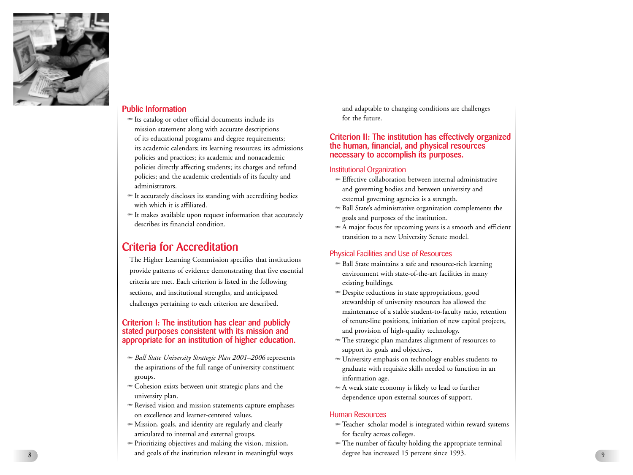

#### **Public Information**

- A Its catalog or other official documents include its mission statement along with accurate descriptions of its educational programs and degree requirements; its academic calendars; its learning resources; its admissions policies and practices; its academic and nonacademic policies directly affecting students; its charges and refund policies; and the academic credentials of its faculty and administrators.
- A It accurately discloses its standing with accrediting bodies with which it is affiliated.
- $\bullet$  It makes available upon request information that accurately describes its financial condition.

### **Criteria for Accreditation**

The Higher Learning Commission specifies that institutions pr ovide patterns of evidence demonstrating that five essential criteria are met. Each criterion is listed in the following sections, and institutional strengths, and anticipated challenges pertaining to each criterion are described.

#### **Criterion I: The institution has clear and publicly stated purposes consistent with its mission and appropriate for an institution of higher education.**

- A *Ball State University Strategic Plan 2001–2006* represents the aspirations of the full range of university constituent groups.
- $\bullet$  Cohesion exists between unit strategic plans and the university plan.
- A Revised vision and mission statements capture emphases on excellence and learner-centered values.
- A Mission, goals, and identity are regularly and clearly articulated to internal and external groups.
- A Prioritizing objectives and making the vision, mission, and goals of the institution relevant in meaningful ways

and adaptable to changing conditions are challenges for the future.

#### **Criterion II: The institution has effectively organized the human, financial, and physical resources necessary to accomplish its purposes.**

#### Institutional Organization

- A Effective collaboration between internal administrative and governing bodies and between university and external governing agencies is a strength.
- A Ball State's administrative organization complements the goals and purposes of the institution.
- A A major focus for upcoming years is a smooth and efficient transition to a new University Senate model.

#### Physical Facilities and Use of Resources

- $\triangleq$  Ball State maintains a safe and resource-rich learning environment with state-of-the-art facilities in many existing buildings.
- **Despite reductions in state appropriations, good** stewardship of university resources has allowed the maintenance of a stable student-to-faculty ratio, retention of tenure-line positions, initiation of new capital projects, and provision of high-quality technology.
- The strategic plan mandates alignment of resources to support its goals and objectives.
- A University emphasis on technology enables students to graduate with requisite skills needed to function in an information age.
- A weak state economy is likely to lead to further dependence upon external sources of support.

#### Human Resources

- A Teacher–scholar model is integrated within reward systems for faculty across colleges.
- A The number of faculty holding the appropriate terminal degree has increased 15 percent since 1993.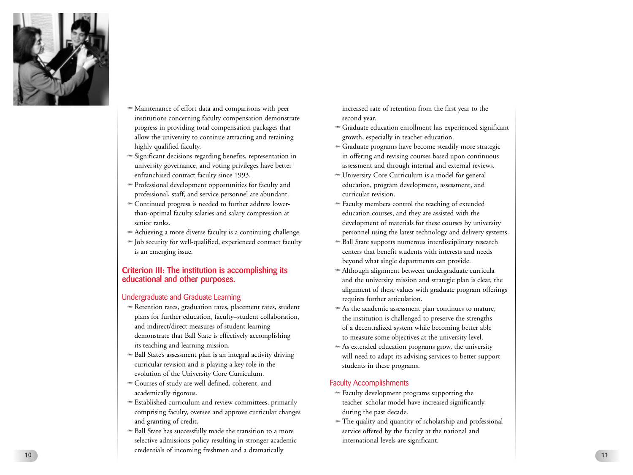

- A Maintenance of effort data and comparisons with peer institutions concerning faculty compensation demonstrate progress in providing total compensation packages that allow the university to continue attracting and retaining highly qualified faculty.
- A Significant decisions regarding benefits, representation in university governance, and voting privileges have better enfranchised contract faculty since 1993.
- A Professional development opportunities for faculty and professional, staff, and service personnel are abundant.
- $\bullet$  Continued progress is needed to further address lowerthan-optimal faculty salaries and salary compression at senior ranks.
- A Achieving a more diverse faculty is a continuing challenge.
- A Job security for well-qualified, experienced contract faculty is an emerging issue.

#### **Criterion III: The institution is accomplishing its educational and other purposes.**

#### Undergraduate and Graduate Learning

- A Retention rates, graduation rates, placement rates, student plans for further education, faculty–student collaboration, and indirect/direct measures of student learning demonstrate that Ball State is effectively accomplishing its teaching and learning mission.
- Ball State's assessment plan is an integral activity driving curricular revision and is playing a key role in the evolution of the University Core Curriculum.
- $\bullet$  Courses of study are well defined, coherent, and academically rigorous.
- A Established curriculum and review committees, primarily comprising faculty, oversee and approve curricular changes and granting of credit.
- $\bullet$  Ball State has successfully made the transition to a more selective admissions policy resulting in stronger academic credentials of incoming freshmen and a dramatically <sup>10</sup>

increased rate of retention from the first year to the second year.

- A Graduate education enrollment has experienced significant growth, especially in teacher education.
- A Graduate programs have become steadily more strategic in offering and revising courses based upon continuous assessment and through internal and external reviews.
- A University Core Curriculum is a model for general education, program development, assessment, and curricular revision.
- $\bullet$  Faculty members control the teaching of extended education courses, and they are assisted with the development of materials for these courses by university personnel using the latest technology and delivery systems.
- **Ball State supports numerous interdisciplinary research** centers that benefit students with interests and needs beyond what single departments can provide.
- $\triangleq$  Although alignment between undergraduate curricula and the university mission and strategic plan is clear, the alignment of these values with graduate program offerings requires further articulation.
- A As the academic assessment plan continues to mature, the institution is challenged to preserve the strengths of a decentralized system while becoming better able to measure some objectives at the university level.
- As extended education programs grow, the university will need to adapt its advising services to better support students in these programs.

#### Faculty Accomplishments

- A Faculty development programs supporting the teacher–scholar model have increased significantly during the past decade.
- A The quality and quantity of scholarship and professional service offered by the faculty at the national and international levels are significant.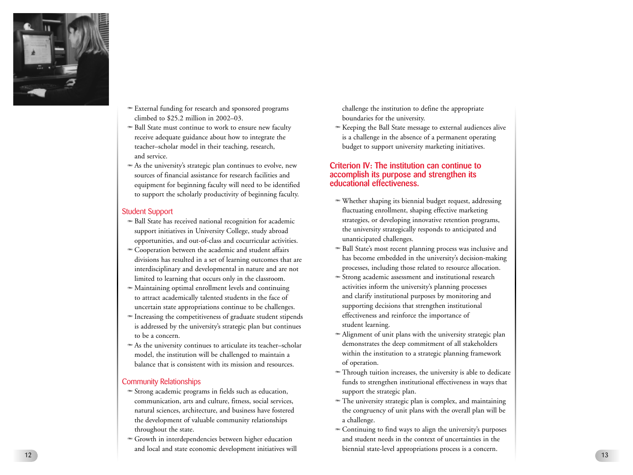

- A External funding for research and sponsored programs climbed to \$25.2 million in 2002–03.
- <sup>■</sup> Ball State must continue to work to ensure new faculty receive adequate guidance about how to integrate the teacher–scholar model in their teaching, research, and service.
- As the university's strategic plan continues to evolve, new sources of financial assistance for research facilities and equipment for beginning faculty will need to be identified to support the scholarly productivity of beginning faculty.

#### Student Support

- $\bullet$  Ball State has received national recognition for academic support initiatives in University College, study abroad opportunities, and out-of-class and cocurricular activities.
- A Cooperation between the academic and student affairs divisions has resulted in a set of learning outcomes that ar e interdisciplinary and developmental in nature and are not limited to learning that occurs only in the classroom.
- A Maintaining optimal enrollment levels and continuing to attract academically talented students in the face of uncertain state appropriations continue to be challenges.
- A Increasing the competitiveness of graduate student stipends is addressed by the university's strategic plan but continues to be a concern.
- <sup>■</sup> As the university continues to articulate its teacher–scholar model, the institution will be challenged to maintain a balance that is consistent with its mission and resources.

#### Community Relationships

- A Strong academic programs in fields such as education, communication, arts and culture, fitness, social services, natural sciences, architecture, and business have fostered the development of valuable community relationships throughout the state.
- A Growth in interdependencies between higher education and local and state economic development initiatives will 12

challenge the institution to define the appropriate boundaries for the university.

A Keeping the Ball State message to external audiences alive is a challenge in the absence of a permanent operating budget to support university marketing initiatives.

#### **Criterion IV: The institution can continue to accomplish its purpose and strengthen its educational effectiveness.**

- A Whether shaping its biennial budget request, addressing fluctuating enrollment, shaping effective marketing strategies, or developing innovative retention programs, the university strategically responds to anticipated and unanticipated challenges.
- **Ball State's most recent planning process was inclusive and** has become embedded in the university's decision-making processes, including those related to resource allocation.
- A Strong academic assessment and institutional research activities inform the university's planning processes and clarify institutional purposes by monitoring and supporting decisions that strengthen institutional effectiveness and reinforce the importance of student learning.
- Alignment of unit plans with the university strategic plan demonstrates the deep commitment of all stakeholders within the institution to a strategic planning framework of operation.
- A Through tuition increases, the university is able to dedicate funds to strengthen institutional effectiveness in ways that support the strategic plan.
- The university strategic plan is complex, and maintaining the congruency of unit plans with the overall plan will be a challenge.
- $\bullet$  Continuing to find ways to align the university's purposes and student needs in the context of uncertainties in the biennial state-level appropriations process is a concern.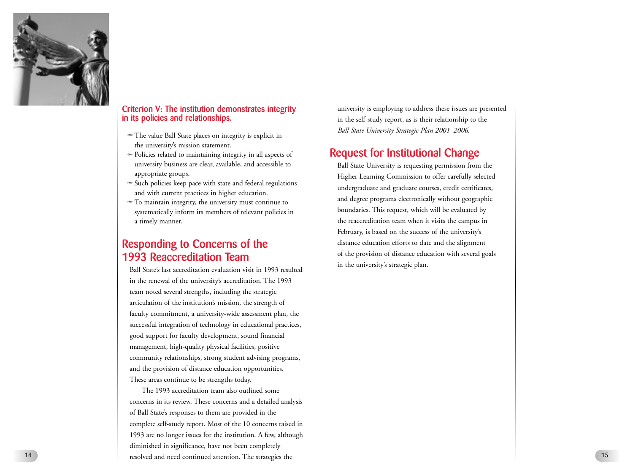

#### **Criterion V: The institution demonstrates integrity in its policies and relationships.**

- The value Ball State places on integrity is explicit in the university's mission statement.
- A Policies related to maintaining integrity in all aspects of university business are clear, available, and accessible to appropriate groups.
- $\bullet$  Such policies keep pace with state and federal regulations and with current practices in higher education.
- A To maintain integrity, the university must continue to systematically inform its members of relevant policies in a timely manner .

### **Responding to Concerns of the 1993 Reaccreditation Team**

Ball State's last accreditation evaluation visit in 1993 resulted in the renewal of the university's accreditation. The 1993 team noted several strengths, including the strategic articulation of the institution's mission, the strength of faculty commitment, a university-wide assessment plan, the successful integration of technology in educational practices, good support for faculty development, sound financial management, high-quality physical facilities, positiv e community relationships, strong student advising programs, and the pr ovision of distance education opportunities. These areas continue to be strengths today.

The 1993 accreditation team also outlined some concerns in its review. These concerns and a detailed analysis of Ball State's responses to them are provided in the complete self-study report. Most of the 10 concerns raised in 1993 are no longer issues for the institution. A few, although diminished in significance, have not been completely 14 resolved and need continued attention. The strategies the

university is employing to address these issues are presented in the self-study report, as is their relationship to the *Ball State University Strategic Plan 2001–2006*.

### **Request for Institutional Change**

Ball State University is requesting permission from the Higher Learning Commission to offer carefully selected undergraduate and graduate courses, credit certificates, and degree programs electronically without geographic boundaries. This request, which will be evaluated by the reaccreditation team when it visits the campus in February, is based on the success of the university's distance education efforts to date and the alignment of the pr ovision of distance education with several goals in the university's strategic plan.